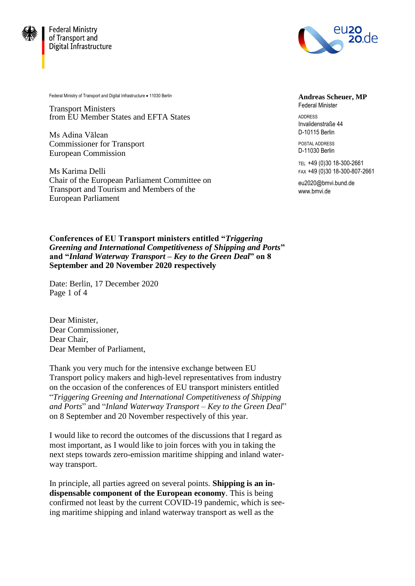

**Federal Ministry** of Transport and Digital Infrastructure



Federal Ministry of Transport and Digital Infrastructure . 11030 Berlin

Transport Ministers from EU Member States and EFTA States

Ms Adina Vălean Commissioner for Transport European Commission

Ms Karima Delli Chair of the European Parliament Committee on Transport and Tourism and Members of the European Parliament

**Andreas Scheuer, MP** Federal Minister

ADDRESS Invalidenstraße 44 D-10115 Berlin

POSTAL ADDRESS D-11030 Berlin

TEL +49 (0)30 18-300-2661 FAX +49 (0)30 18-300-807-2661

eu2020@bmvi.bund.de www.bmvi.de

**Conferences of EU Transport ministers entitled "***Triggering Greening and International Competitiveness of Shipping and Ports***" and "***Inland Waterway Transport – Key to the Green Deal***" on 8 September and 20 November 2020 respectively**

Date: Berlin, 17 December 2020 Page 1 of 4

Dear Minister, Dear Commissioner, Dear Chair, Dear Member of Parliament,

Thank you very much for the intensive exchange between EU Transport policy makers and high-level representatives from industry on the occasion of the conferences of EU transport ministers entitled "*Triggering Greening and International Competitiveness of Shipping and Ports*" and "*Inland Waterway Transport – Key to the Green Deal*" on 8 September and 20 November respectively of this year.

I would like to record the outcomes of the discussions that I regard as most important, as I would like to join forces with you in taking the next steps towards zero-emission maritime shipping and inland waterway transport.

In principle, all parties agreed on several points. **Shipping is an indispensable component of the European economy**. This is being confirmed not least by the current COVID-19 pandemic, which is seeing maritime shipping and inland waterway transport as well as the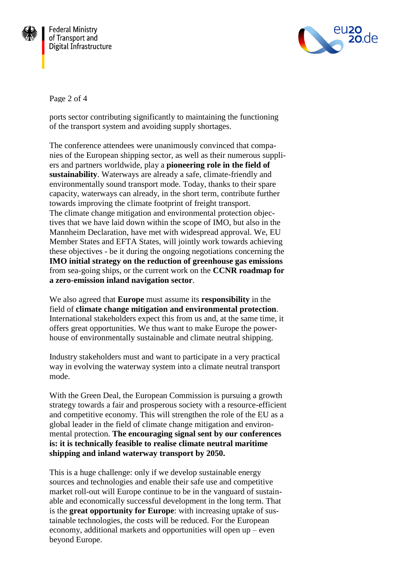



Page 2 of 4

ports sector contributing significantly to maintaining the functioning of the transport system and avoiding supply shortages.

The conference attendees were unanimously convinced that companies of the European shipping sector, as well as their numerous suppliers and partners worldwide, play a **pioneering role in the field of sustainability**. Waterways are already a safe, climate-friendly and environmentally sound transport mode. Today, thanks to their spare capacity, waterways can already, in the short term, contribute further towards improving the climate footprint of freight transport. The climate change mitigation and environmental protection objectives that we have laid down within the scope of IMO, but also in the Mannheim Declaration, have met with widespread approval. We, EU Member States and EFTA States, will jointly work towards achieving these objectives - be it during the ongoing negotiations concerning the **IMO initial strategy on the reduction of greenhouse gas emissions** from sea-going ships, or the current work on the **CCNR roadmap for a zero-emission inland navigation sector**.

We also agreed that **Europe** must assume its **responsibility** in the field of **climate change mitigation and environmental protection**. International stakeholders expect this from us and, at the same time, it offers great opportunities. We thus want to make Europe the powerhouse of environmentally sustainable and climate neutral shipping.

Industry stakeholders must and want to participate in a very practical way in evolving the waterway system into a climate neutral transport mode.

With the Green Deal, the European Commission is pursuing a growth strategy towards a fair and prosperous society with a resource-efficient and competitive economy. This will strengthen the role of the EU as a global leader in the field of climate change mitigation and environmental protection. **The encouraging signal sent by our conferences is: it is technically feasible to realise climate neutral maritime shipping and inland waterway transport by 2050.**

This is a huge challenge: only if we develop sustainable energy sources and technologies and enable their safe use and competitive market roll-out will Europe continue to be in the vanguard of sustainable and economically successful development in the long term. That is the **great opportunity for Europe**: with increasing uptake of sustainable technologies, the costs will be reduced. For the European economy, additional markets and opportunities will open up – even beyond Europe.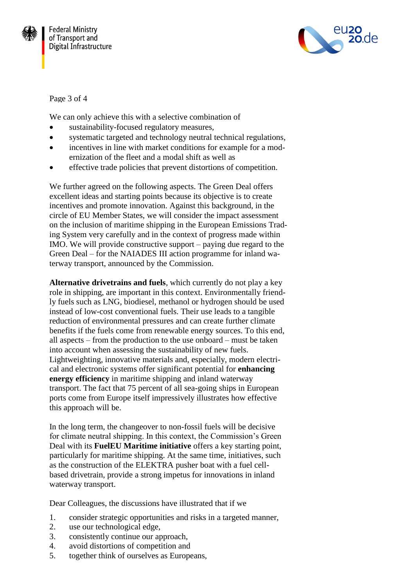



## Page 3 of 4

We can only achieve this with a selective combination of

- sustainability-focused regulatory measures,
- systematic targeted and technology neutral technical regulations,
- incentives in line with market conditions for example for a modernization of the fleet and a modal shift as well as
- effective trade policies that prevent distortions of competition.

We further agreed on the following aspects. The Green Deal offers excellent ideas and starting points because its objective is to create incentives and promote innovation. Against this background, in the circle of EU Member States, we will consider the impact assessment on the inclusion of maritime shipping in the European Emissions Trading System very carefully and in the context of progress made within IMO. We will provide constructive support – paying due regard to the Green Deal – for the NAIADES III action programme for inland waterway transport, announced by the Commission.

**Alternative drivetrains and fuels**, which currently do not play a key role in shipping, are important in this context. Environmentally friendly fuels such as LNG, biodiesel, methanol or hydrogen should be used instead of low-cost conventional fuels. Their use leads to a tangible reduction of environmental pressures and can create further climate benefits if the fuels come from renewable energy sources. To this end, all aspects – from the production to the use onboard – must be taken into account when assessing the sustainability of new fuels. Lightweighting, innovative materials and, especially, modern electrical and electronic systems offer significant potential for **enhancing energy efficiency** in maritime shipping and inland waterway transport. The fact that 75 percent of all sea-going ships in European ports come from Europe itself impressively illustrates how effective this approach will be.

In the long term, the changeover to non-fossil fuels will be decisive for climate neutral shipping. In this context, the Commission's Green Deal with its **FuelEU Maritime initiative** offers a key starting point, particularly for maritime shipping. At the same time, initiatives, such as the construction of the ELEKTRA pusher boat with a fuel cellbased drivetrain, provide a strong impetus for innovations in inland waterway transport.

Dear Colleagues, the discussions have illustrated that if we

- 1. consider strategic opportunities and risks in a targeted manner,
- 2. use our technological edge,
- 3. consistently continue our approach,
- 4. avoid distortions of competition and
- 5. together think of ourselves as Europeans,